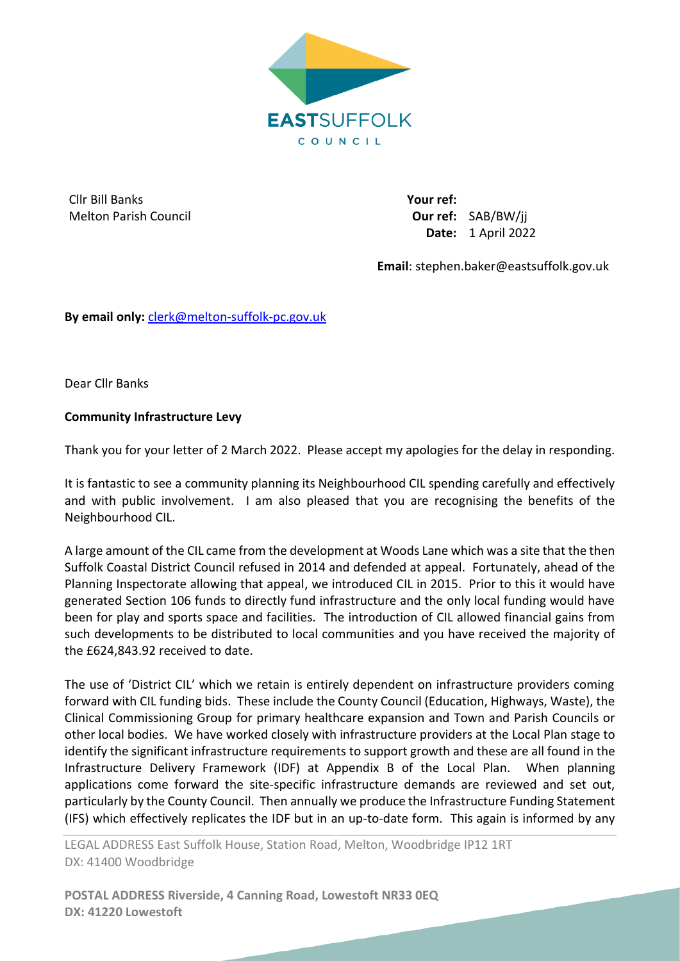

Cllr Bill Banks Melton Parish Council **Your ref: Our ref:** SAB/BW/jj **Date:** 1 April 2022

**Email**: stephen.baker@eastsuffolk.gov.uk

**By email only:** [clerk@melton-suffolk-pc.gov.uk](mailto:clerk@melton-suffolk-pc.gov.uk)

Dear Cllr Banks

## **Community Infrastructure Levy**

Thank you for your letter of 2 March 2022. Please accept my apologies for the delay in responding.

It is fantastic to see a community planning its Neighbourhood CIL spending carefully and effectively and with public involvement. I am also pleased that you are recognising the benefits of the Neighbourhood CIL.

A large amount of the CIL came from the development at Woods Lane which was a site that the then Suffolk Coastal District Council refused in 2014 and defended at appeal. Fortunately, ahead of the Planning Inspectorate allowing that appeal, we introduced CIL in 2015. Prior to this it would have generated Section 106 funds to directly fund infrastructure and the only local funding would have been for play and sports space and facilities. The introduction of CIL allowed financial gains from such developments to be distributed to local communities and you have received the majority of the £624,843.92 received to date.

The use of 'District CIL' which we retain is entirely dependent on infrastructure providers coming forward with CIL funding bids. These include the County Council (Education, Highways, Waste), the Clinical Commissioning Group for primary healthcare expansion and Town and Parish Councils or other local bodies. We have worked closely with infrastructure providers at the Local Plan stage to identify the significant infrastructure requirements to support growth and these are all found in the Infrastructure Delivery Framework (IDF) at Appendix B of the Local Plan. When planning applications come forward the site-specific infrastructure demands are reviewed and set out, particularly by the County Council. Then annually we produce the Infrastructure Funding Statement (IFS) which effectively replicates the IDF but in an up-to-date form. This again is informed by any

LEGAL ADDRESS East Suffolk House, Station Road, Melton, Woodbridge IP12 1RT DX: 41400 Woodbridge

**POSTAL ADDRESS Riverside, 4 Canning Road, Lowestoft NR33 0EQ DX: 41220 Lowestoft**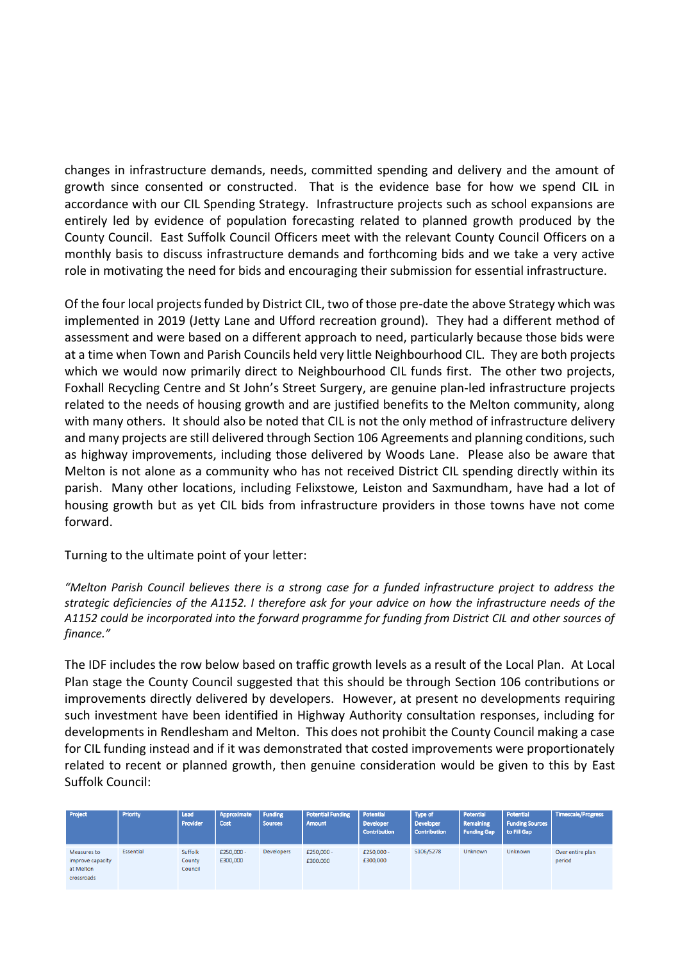changes in infrastructure demands, needs, committed spending and delivery and the amount of growth since consented or constructed. That is the evidence base for how we spend CIL in accordance with our CIL Spending Strategy. Infrastructure projects such as school expansions are entirely led by evidence of population forecasting related to planned growth produced by the County Council. East Suffolk Council Officers meet with the relevant County Council Officers on a monthly basis to discuss infrastructure demands and forthcoming bids and we take a very active role in motivating the need for bids and encouraging their submission for essential infrastructure.

Of the four local projects funded by District CIL, two of those pre-date the above Strategy which was implemented in 2019 (Jetty Lane and Ufford recreation ground). They had a different method of assessment and were based on a different approach to need, particularly because those bids were at a time when Town and Parish Councils held very little Neighbourhood CIL. They are both projects which we would now primarily direct to Neighbourhood CIL funds first. The other two projects, Foxhall Recycling Centre and St John's Street Surgery, are genuine plan-led infrastructure projects related to the needs of housing growth and are justified benefits to the Melton community, along with many others. It should also be noted that CIL is not the only method of infrastructure delivery and many projects are still delivered through Section 106 Agreements and planning conditions, such as highway improvements, including those delivered by Woods Lane. Please also be aware that Melton is not alone as a community who has not received District CIL spending directly within its parish. Many other locations, including Felixstowe, Leiston and Saxmundham, have had a lot of housing growth but as yet CIL bids from infrastructure providers in those towns have not come forward.

Turning to the ultimate point of your letter:

*"Melton Parish Council believes there is a strong case for a funded infrastructure project to address the strategic deficiencies of the A1152. I therefore ask for your advice on how the infrastructure needs of the A1152 could be incorporated into the forward programme for funding from District CIL and other sources of finance."* 

The IDF includes the row below based on traffic growth levels as a result of the Local Plan. At Local Plan stage the County Council suggested that this should be through Section 106 contributions or improvements directly delivered by developers. However, at present no developments requiring such investment have been identified in Highway Authority consultation responses, including for developments in Rendlesham and Melton. This does not prohibit the County Council making a case for CIL funding instead and if it was demonstrated that costed improvements were proportionately related to recent or planned growth, then genuine consideration would be given to this by East Suffolk Council:

| Project                                                    | Priority  | Lead<br>Provider             | Approximate<br>Cost    | Funding<br><b>Sources</b> | <b>Potential Funding</b><br>Amount | Potential<br><b>Developer</b><br><b>Contribution</b> | Type of<br><b>Developer</b><br>Contribution | Potential<br>Remaining<br><b>Funding Gap</b> | Potential<br><b>Funding Sources</b><br>to Fill Gap | Timescale/Progress         |
|------------------------------------------------------------|-----------|------------------------------|------------------------|---------------------------|------------------------------------|------------------------------------------------------|---------------------------------------------|----------------------------------------------|----------------------------------------------------|----------------------------|
| Measures to<br>improve capacity<br>at Melton<br>crossroads | Essential | Suffolk<br>County<br>Council | £250,000 -<br>£300,000 | Developers                | £250,000 -<br>£300,000             | £250,000 -<br>£300,000                               | S106/S278                                   | Unknown                                      | Unknown                                            | Over entire plan<br>period |